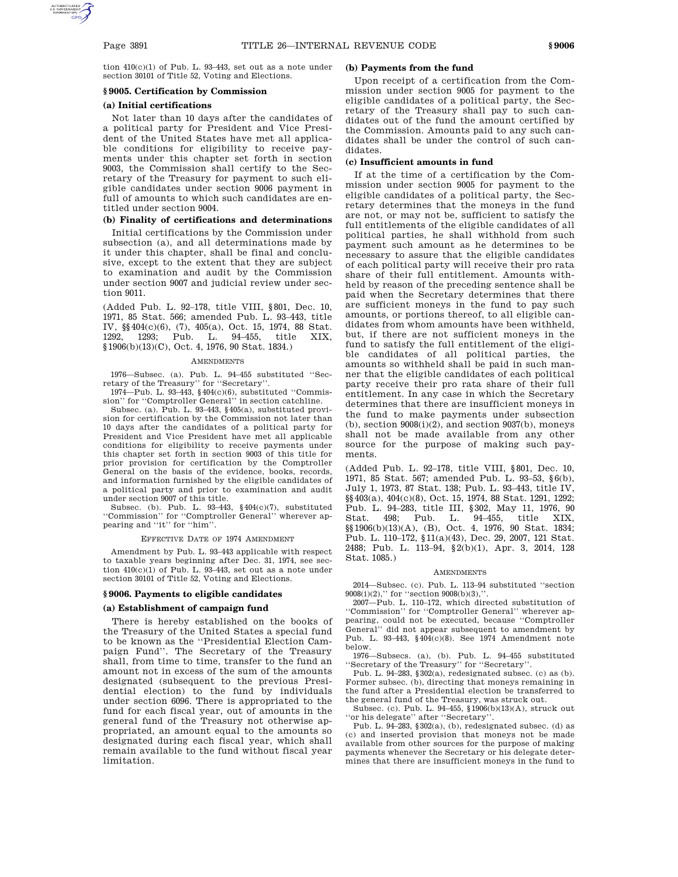tion 410(c)(1) of Pub. L. 93–443, set out as a note under section 30101 of Title 52, Voting and Elections.

# **§ 9005. Certification by Commission**

# **(a) Initial certifications**

Not later than 10 days after the candidates of a political party for President and Vice President of the United States have met all applicable conditions for eligibility to receive payments under this chapter set forth in section 9003, the Commission shall certify to the Secretary of the Treasury for payment to such eligible candidates under section 9006 payment in full of amounts to which such candidates are entitled under section 9004.

# **(b) Finality of certifications and determinations**

Initial certifications by the Commission under subsection (a), and all determinations made by it under this chapter, shall be final and conclusive, except to the extent that they are subject to examination and audit by the Commission under section 9007 and judicial review under section 9011.

(Added Pub. L. 92–178, title VIII, §801, Dec. 10, 1971, 85 Stat. 566; amended Pub. L. 93–443, title IV, §§404(c)(6), (7), 405(a), Oct. 15, 1974, 88 Stat. 1292, 1293; Pub. L. 94–455, title XIX, §1906(b)(13)(C), Oct. 4, 1976, 90 Stat. 1834.)

#### **AMENDMENTS**

1976—Subsec. (a). Pub. L. 94–455 substituted ''Secretary of the Treasury'' for ''Secretary''.

1974—Pub. L. 93–443, §404(c)(6), substituted ''Commission'' for ''Comptroller General'' in section catchline.

Subsec. (a). Pub. L. 93–443, §405(a), substituted provision for certification by the Commission not later than 10 days after the candidates of a political party for President and Vice President have met all applicable conditions for eligibility to receive payments under this chapter set forth in section 9003 of this title for prior provision for certification by the Comptroller General on the basis of the evidence, books, records, and information furnished by the eligible candidates of a political party and prior to examination and audit under section 9007 of this title.

Subsec. (b). Pub. L. 93–443, §404(c)(7), substituted ''Commission'' for ''Comptroller General'' wherever appearing and ''it'' for ''him''.

#### EFFECTIVE DATE OF 1974 AMENDMENT

Amendment by Pub. L. 93–443 applicable with respect to taxable years beginning after Dec. 31, 1974, see section  $410(c)(1)$  of Pub. L. 93-443, set out as a note under section 30101 of Title 52, Voting and Elections.

### **§ 9006. Payments to eligible candidates**

# **(a) Establishment of campaign fund**

There is hereby established on the books of the Treasury of the United States a special fund to be known as the ''Presidential Election Campaign Fund''. The Secretary of the Treasury shall, from time to time, transfer to the fund an amount not in excess of the sum of the amounts designated (subsequent to the previous Presidential election) to the fund by individuals under section 6096. There is appropriated to the fund for each fiscal year, out of amounts in the general fund of the Treasury not otherwise appropriated, an amount equal to the amounts so designated during each fiscal year, which shall remain available to the fund without fiscal year limitation.

# **(b) Payments from the fund**

Upon receipt of a certification from the Commission under section 9005 for payment to the eligible candidates of a political party, the Secretary of the Treasury shall pay to such candidates out of the fund the amount certified by the Commission. Amounts paid to any such candidates shall be under the control of such candidates.

#### **(c) Insufficient amounts in fund**

If at the time of a certification by the Commission under section 9005 for payment to the eligible candidates of a political party, the Secretary determines that the moneys in the fund are not, or may not be, sufficient to satisfy the full entitlements of the eligible candidates of all political parties, he shall withhold from such payment such amount as he determines to be necessary to assure that the eligible candidates of each political party will receive their pro rata share of their full entitlement. Amounts withheld by reason of the preceding sentence shall be paid when the Secretary determines that there are sufficient moneys in the fund to pay such amounts, or portions thereof, to all eligible candidates from whom amounts have been withheld, but, if there are not sufficient moneys in the fund to satisfy the full entitlement of the eligible candidates of all political parties, the amounts so withheld shall be paid in such manner that the eligible candidates of each political party receive their pro rata share of their full entitlement. In any case in which the Secretary determines that there are insufficient moneys in the fund to make payments under subsection (b), section  $9008(i)(2)$ , and section  $9037(b)$  , moneys shall not be made available from any other source for the purpose of making such payments.

(Added Pub. L. 92–178, title VIII, §801, Dec. 10, 1971, 85 Stat. 567; amended Pub. L. 93–53, §6(b), July 1, 1973, 87 Stat. 138; Pub. L. 93–443, title IV, §§403(a), 404(c)(8), Oct. 15, 1974, 88 Stat. 1291, 1292; Pub. L. 94–283, title III, §302, May 11, 1976, 90 Stat. 498; Pub. L. 94–455, title XIX, §§1906(b)(13)(A), (B), Oct. 4, 1976, 90 Stat. 1834; Pub. L. 110–172, §11(a)(43), Dec. 29, 2007, 121 Stat. 2488; Pub. L. 113–94, §2(b)(1), Apr. 3, 2014, 128 Stat. 1085.)

## AMENDMENTS

2014—Subsec. (c). Pub. L. 113–94 substituted ''section  $9008(i)(2)$ ," for "section  $9008(b)(3)$ ,"

2007—Pub. L. 110–172, which directed substitution of ''Commission'' for ''Comptroller General'' wherever appearing, could not be executed, because ''Comptroller General'' did not appear subsequent to amendment by Pub. L. 93–443, §404(c)(8). See 1974 Amendment note below.

1976—Subsecs. (a), (b). Pub. L. 94–455 substituted ''Secretary of the Treasury'' for ''Secretary''.

Pub. L. 94–283, §302(a), redesignated subsec. (c) as (b). Former subsec. (b), directing that moneys remaining in the fund after a Presidential election be transferred to the general fund of the Treasury, was struck out.

Subsec. (c). Pub. L. 94–455, §1906(b)(13)(A), struck out ''or his delegate'' after ''Secretary''.

Pub. L.  $94-283$ ,  $9302(a)$ , (b), redesignated subsec. (d) as (c) and inserted provision that moneys not be made available from other sources for the purpose of making payments whenever the Secretary or his delegate determines that there are insufficient moneys in the fund to